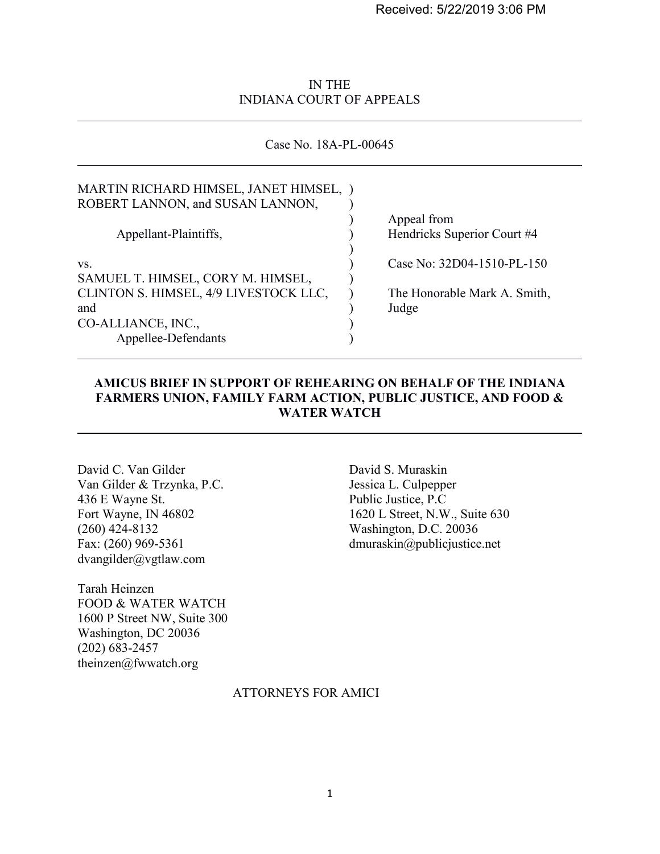Received: 5/22/2019 3:06 PM

## IN THE INDIANA COURT OF APPEALS

#### Case No. 18A-PL-00645

| MARTIN RICHARD HIMSEL, JANET HIMSEL,<br>ROBERT LANNON, and SUSAN LANNON, |                                            |
|--------------------------------------------------------------------------|--------------------------------------------|
| Appellant-Plaintiffs,                                                    | Appeal from<br>Hendricks Superior Court #4 |
| VS.<br>SAMUEL T. HIMSEL, CORY M. HIMSEL,                                 | Case No: 32D04-1510-PL-150                 |
| CLINTON S. HIMSEL, 4/9 LIVESTOCK LLC,<br>and                             | The Honorable Mark A. Smith,<br>Judge      |
| CO-ALLIANCE, INC.,<br>Appellee-Defendants                                |                                            |

## **AMICUS BRIEF IN SUPPORT OF REHEARING ON BEHALF OF THE INDIANA FARMERS UNION, FAMILY FARM ACTION, PUBLIC JUSTICE, AND FOOD & WATER WATCH**

David C. Van Gilder David S. Muraskin<br>
Van Gilder & Trzynka, P.C. Sessica L. Culpepper Van Gilder & Trzynka, P.C. 436 E Wayne St. Public Justice, P.C (260) 424-8132 Washington, D.C. 20036 dvangilder@vgtlaw.com

 $\overline{a}$ 

 $\overline{a}$ 

Tarah Heinzen FOOD & WATER WATCH 1600 P Street NW, Suite 300 Washington, DC 20036 (202) 683-2457 theinzen@fwwatch.org

Fort Wayne, IN 46802 1620 L Street, N.W., Suite 630 Fax: (260) 969-5361 dmuraskin@publicjustice.net

#### ATTORNEYS FOR AMICI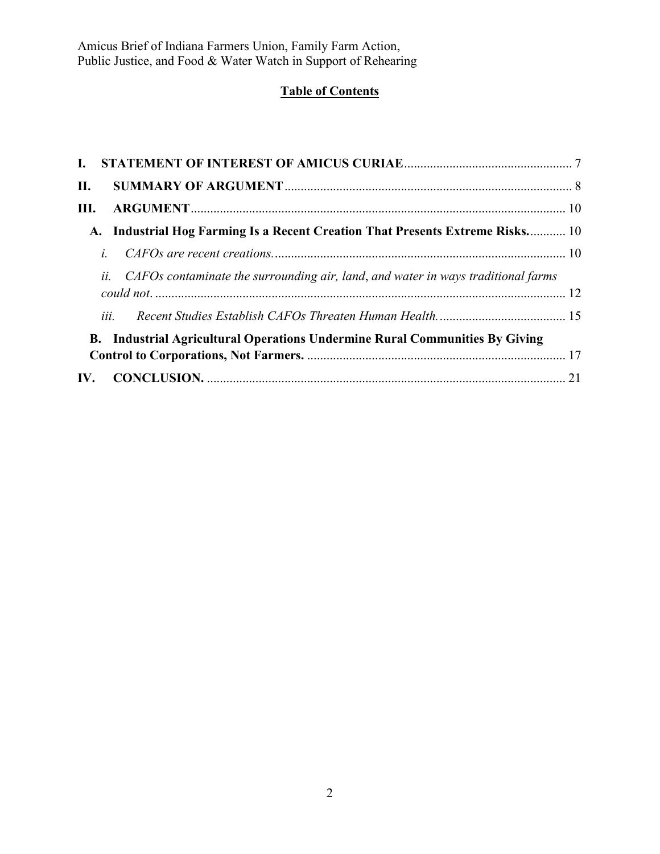# **Table of Contents**

| $\mathbf{I}$ .                                                                        |  |
|---------------------------------------------------------------------------------------|--|
| <b>II.</b>                                                                            |  |
| III.                                                                                  |  |
| A. Industrial Hog Farming Is a Recent Creation That Presents Extreme Risks 10         |  |
| $\dot{L}$                                                                             |  |
| ii. CAFOs contaminate the surrounding air, land, and water in ways traditional farms  |  |
|                                                                                       |  |
| iii.                                                                                  |  |
| <b>Industrial Agricultural Operations Undermine Rural Communities By Giving</b><br>В. |  |
|                                                                                       |  |
|                                                                                       |  |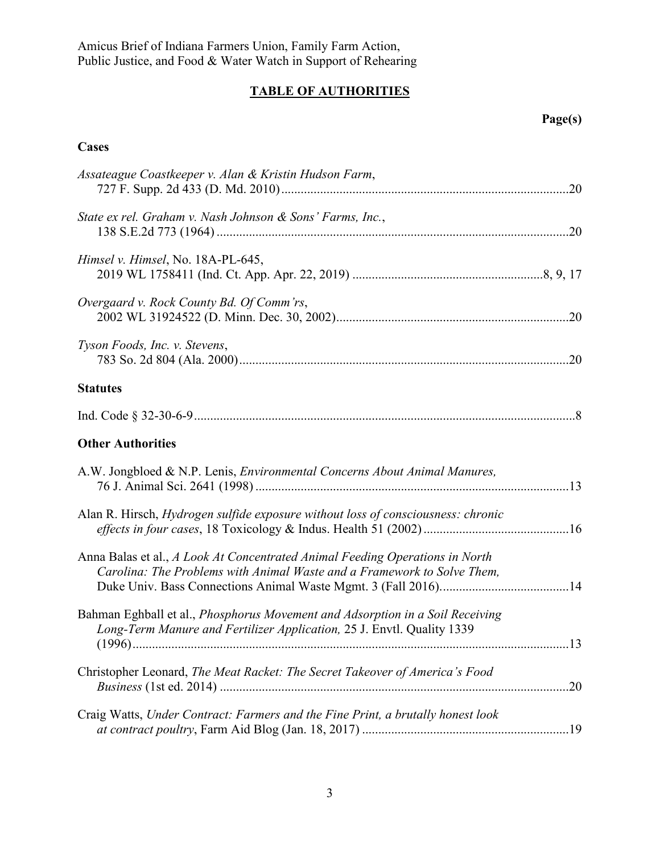# **TABLE OF AUTHORITIES**

## **Page(s)**

## **Cases**

| Assateague Coastkeeper v. Alan & Kristin Hudson Farm,                                                                                                          |     |
|----------------------------------------------------------------------------------------------------------------------------------------------------------------|-----|
| State ex rel. Graham v. Nash Johnson & Sons' Farms, Inc.,                                                                                                      |     |
| Himsel v. Himsel, No. 18A-PL-645,                                                                                                                              |     |
| Overgaard v. Rock County Bd. Of Comm'rs,                                                                                                                       |     |
| Tyson Foods, Inc. v. Stevens,                                                                                                                                  |     |
| <b>Statutes</b>                                                                                                                                                |     |
|                                                                                                                                                                |     |
| <b>Other Authorities</b>                                                                                                                                       |     |
| A.W. Jongbloed & N.P. Lenis, <i>Environmental Concerns About Animal Manures</i> ,                                                                              |     |
| Alan R. Hirsch, Hydrogen sulfide exposure without loss of consciousness: chronic                                                                               |     |
| Anna Balas et al., A Look At Concentrated Animal Feeding Operations in North<br>Carolina: The Problems with Animal Waste and a Framework to Solve Them,        |     |
| Bahman Eghball et al., <i>Phosphorus Movement and Adsorption in a Soil Receiving</i><br>Long-Term Manure and Fertilizer Application, 25 J. Envtl. Quality 1339 |     |
| Christopher Leonard, The Meat Racket: The Secret Takeover of America's Food                                                                                    | .20 |
| Craig Watts, Under Contract: Farmers and the Fine Print, a brutally honest look                                                                                |     |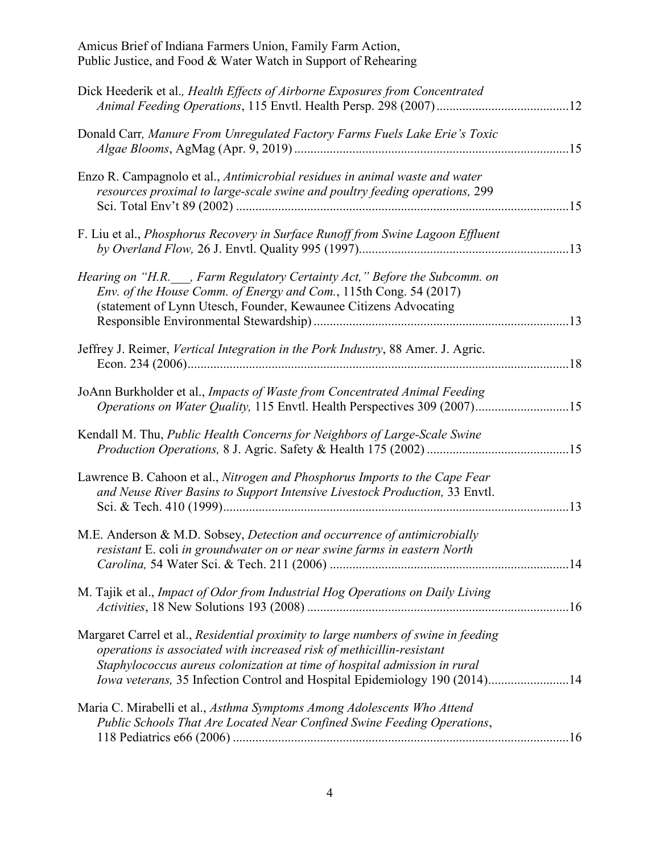| Dick Heederik et al., Health Effects of Airborne Exposures from Concentrated                                                                                                                                                                                                                                           |     |
|------------------------------------------------------------------------------------------------------------------------------------------------------------------------------------------------------------------------------------------------------------------------------------------------------------------------|-----|
| Donald Carr, Manure From Unregulated Factory Farms Fuels Lake Erie's Toxic                                                                                                                                                                                                                                             |     |
| Enzo R. Campagnolo et al., Antimicrobial residues in animal waste and water<br>resources proximal to large-scale swine and poultry feeding operations, 299                                                                                                                                                             | .15 |
| F. Liu et al., <i>Phosphorus Recovery in Surface Runoff from Swine Lagoon Effluent</i>                                                                                                                                                                                                                                 |     |
| Hearing on "H.R. , Farm Regulatory Certainty Act," Before the Subcomm. on<br>Env. of the House Comm. of Energy and Com., 115th Cong. 54 (2017)<br>(statement of Lynn Utesch, Founder, Kewaunee Citizens Advocating                                                                                                     |     |
| Jeffrey J. Reimer, Vertical Integration in the Pork Industry, 88 Amer. J. Agric.                                                                                                                                                                                                                                       | .18 |
| JoAnn Burkholder et al., Impacts of Waste from Concentrated Animal Feeding<br>Operations on Water Quality, 115 Envtl. Health Perspectives 309 (2007)15                                                                                                                                                                 |     |
| Kendall M. Thu, Public Health Concerns for Neighbors of Large-Scale Swine                                                                                                                                                                                                                                              |     |
| Lawrence B. Cahoon et al., Nitrogen and Phosphorus Imports to the Cape Fear<br>and Neuse River Basins to Support Intensive Livestock Production, 33 Envtl.                                                                                                                                                             | .13 |
| M.E. Anderson & M.D. Sobsey, Detection and occurrence of antimicrobially<br>resistant E. coli in groundwater on or near swine farms in eastern North                                                                                                                                                                   |     |
| M. Tajik et al., Impact of Odor from Industrial Hog Operations on Daily Living                                                                                                                                                                                                                                         |     |
| Margaret Carrel et al., Residential proximity to large numbers of swine in feeding<br>operations is associated with increased risk of methicillin-resistant<br>Staphylococcus aureus colonization at time of hospital admission in rural<br>Iowa veterans, 35 Infection Control and Hospital Epidemiology 190 (2014)14 |     |
| Maria C. Mirabelli et al., Asthma Symptoms Among Adolescents Who Attend<br>Public Schools That Are Located Near Confined Swine Feeding Operations,                                                                                                                                                                     |     |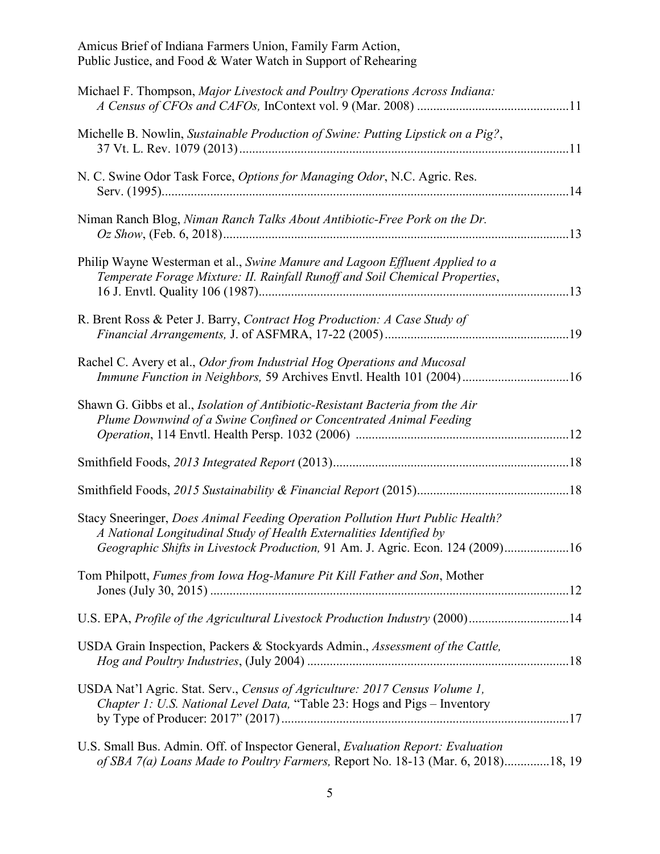| Michael F. Thompson, Major Livestock and Poultry Operations Across Indiana:                                                                                                                                                            |
|----------------------------------------------------------------------------------------------------------------------------------------------------------------------------------------------------------------------------------------|
| Michelle B. Nowlin, Sustainable Production of Swine: Putting Lipstick on a Pig?,                                                                                                                                                       |
| N. C. Swine Odor Task Force, Options for Managing Odor, N.C. Agric. Res.<br>.14                                                                                                                                                        |
| Niman Ranch Blog, Niman Ranch Talks About Antibiotic-Free Pork on the Dr.                                                                                                                                                              |
| Philip Wayne Westerman et al., Swine Manure and Lagoon Effluent Applied to a<br>Temperate Forage Mixture: II. Rainfall Runoff and Soil Chemical Properties,                                                                            |
| R. Brent Ross & Peter J. Barry, Contract Hog Production: A Case Study of                                                                                                                                                               |
| Rachel C. Avery et al., Odor from Industrial Hog Operations and Mucosal<br>Immune Function in Neighbors, 59 Archives Envtl. Health 101 (2004)16                                                                                        |
| Shawn G. Gibbs et al., Isolation of Antibiotic-Resistant Bacteria from the Air<br>Plume Downwind of a Swine Confined or Concentrated Animal Feeding                                                                                    |
|                                                                                                                                                                                                                                        |
|                                                                                                                                                                                                                                        |
| Stacy Sneeringer, Does Animal Feeding Operation Pollution Hurt Public Health?<br>A National Longitudinal Study of Health Externalities Identified by<br>Geographic Shifts in Livestock Production, 91 Am. J. Agric. Econ. 124 (2009)16 |
| Tom Philpott, Fumes from Iowa Hog-Manure Pit Kill Father and Son, Mother                                                                                                                                                               |
| U.S. EPA, Profile of the Agricultural Livestock Production Industry (2000)14                                                                                                                                                           |
| USDA Grain Inspection, Packers & Stockyards Admin., Assessment of the Cattle,                                                                                                                                                          |
| USDA Nat'l Agric. Stat. Serv., Census of Agriculture: 2017 Census Volume 1,<br>Chapter 1: U.S. National Level Data, "Table 23: Hogs and Pigs - Inventory                                                                               |
| U.S. Small Bus. Admin. Off. of Inspector General, <i>Evaluation Report: Evaluation</i><br>of SBA 7(a) Loans Made to Poultry Farmers, Report No. 18-13 (Mar. 6, 2018)18, 19                                                             |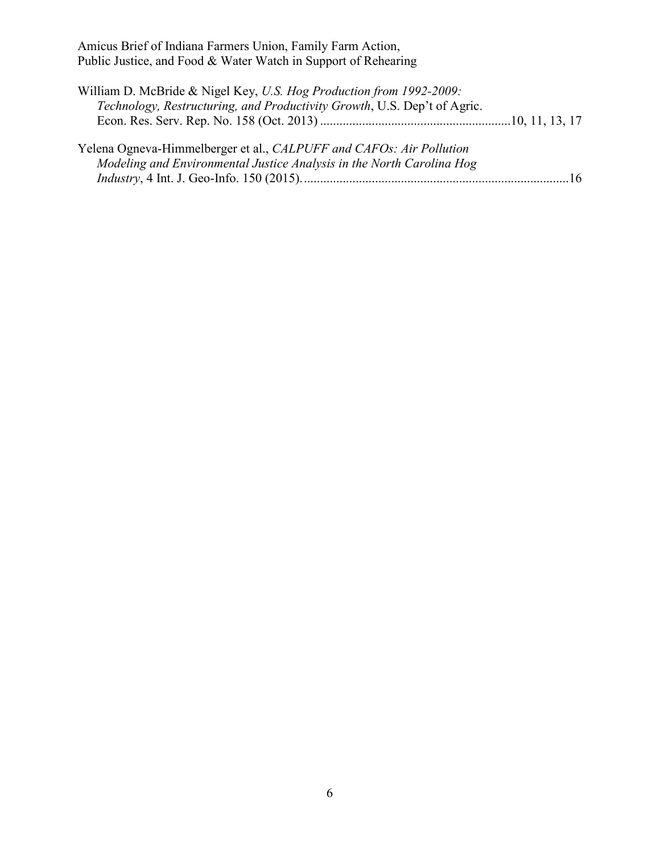| William D. McBride & Nigel Key, U.S. Hog Production from 1992-2009:                                                                          |  |
|----------------------------------------------------------------------------------------------------------------------------------------------|--|
| Technology, Restructuring, and Productivity Growth, U.S. Dep't of Agric.                                                                     |  |
|                                                                                                                                              |  |
| Yelena Ogneva-Himmelberger et al., CALPUFF and CAFOs: Air Pollution<br>Modeling and Environmental Justice Analysis in the North Carolina Hog |  |
|                                                                                                                                              |  |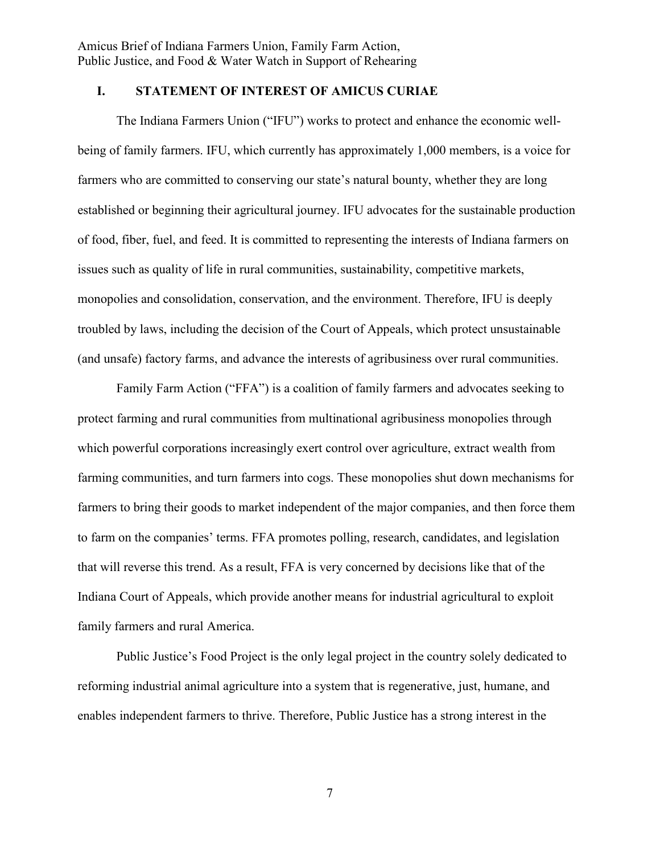## **I. STATEMENT OF INTEREST OF AMICUS CURIAE**

The Indiana Farmers Union ("IFU") works to protect and enhance the economic wellbeing of family farmers. IFU, which currently has approximately 1,000 members, is a voice for farmers who are committed to conserving our state's natural bounty, whether they are long established or beginning their agricultural journey. IFU advocates for the sustainable production of food, fiber, fuel, and feed. It is committed to representing the interests of Indiana farmers on issues such as quality of life in rural communities, sustainability, competitive markets, monopolies and consolidation, conservation, and the environment. Therefore, IFU is deeply troubled by laws, including the decision of the Court of Appeals, which protect unsustainable (and unsafe) factory farms, and advance the interests of agribusiness over rural communities.

Family Farm Action ("FFA") is a coalition of family farmers and advocates seeking to protect farming and rural communities from multinational agribusiness monopolies through which powerful corporations increasingly exert control over agriculture, extract wealth from farming communities, and turn farmers into cogs. These monopolies shut down mechanisms for farmers to bring their goods to market independent of the major companies, and then force them to farm on the companies' terms. FFA promotes polling, research, candidates, and legislation that will reverse this trend. As a result, FFA is very concerned by decisions like that of the Indiana Court of Appeals, which provide another means for industrial agricultural to exploit family farmers and rural America.

Public Justice's Food Project is the only legal project in the country solely dedicated to reforming industrial animal agriculture into a system that is regenerative, just, humane, and enables independent farmers to thrive. Therefore, Public Justice has a strong interest in the

7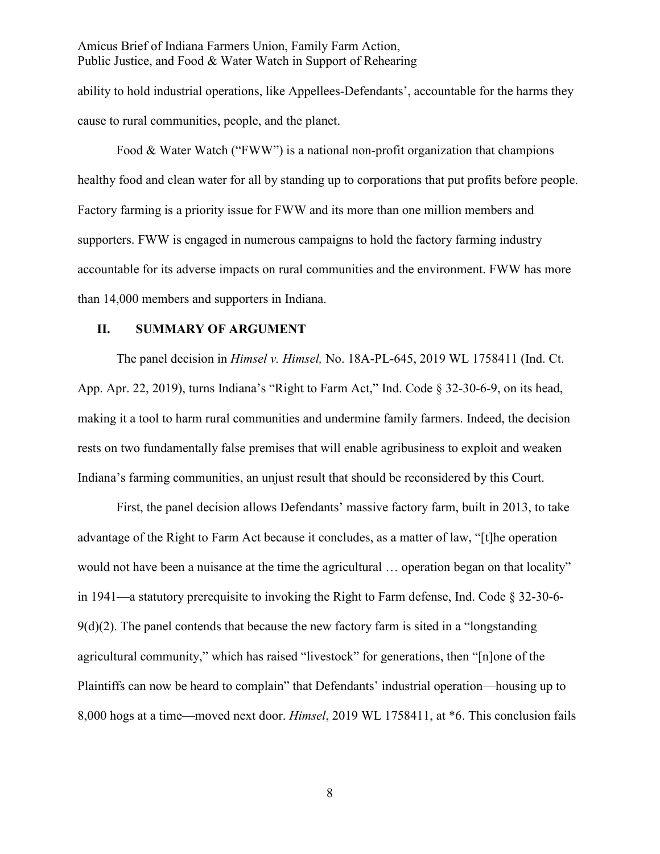ability to hold industrial operations, like Appellees-Defendants', accountable for the harms they cause to rural communities, people, and the planet.

Food & Water Watch ("FWW") is a national non-profit organization that champions healthy food and clean water for all by standing up to corporations that put profits before people. Factory farming is a priority issue for FWW and its more than one million members and supporters. FWW is engaged in numerous campaigns to hold the factory farming industry accountable for its adverse impacts on rural communities and the environment. FWW has more than 14,000 members and supporters in Indiana.

#### **II. SUMMARY OF ARGUMENT**

The panel decision in *Himsel v. Himsel,* No. 18A-PL-645, 2019 WL 1758411 (Ind. Ct. App. Apr. 22, 2019), turns Indiana's "Right to Farm Act," Ind. Code § 32-30-6-9, on its head, making it a tool to harm rural communities and undermine family farmers. Indeed, the decision rests on two fundamentally false premises that will enable agribusiness to exploit and weaken Indiana's farming communities, an unjust result that should be reconsidered by this Court.

First, the panel decision allows Defendants' massive factory farm, built in 2013, to take advantage of the Right to Farm Act because it concludes, as a matter of law, "[t]he operation would not have been a nuisance at the time the agricultural … operation began on that locality" in 1941—a statutory prerequisite to invoking the Right to Farm defense, Ind. Code § 32-30-6-  $9(d)(2)$ . The panel contends that because the new factory farm is sited in a "longstanding" agricultural community," which has raised "livestock" for generations, then "[n]one of the Plaintiffs can now be heard to complain" that Defendants' industrial operation—housing up to 8,000 hogs at a time—moved next door. *Himsel*, 2019 WL 1758411, at \*6. This conclusion fails

8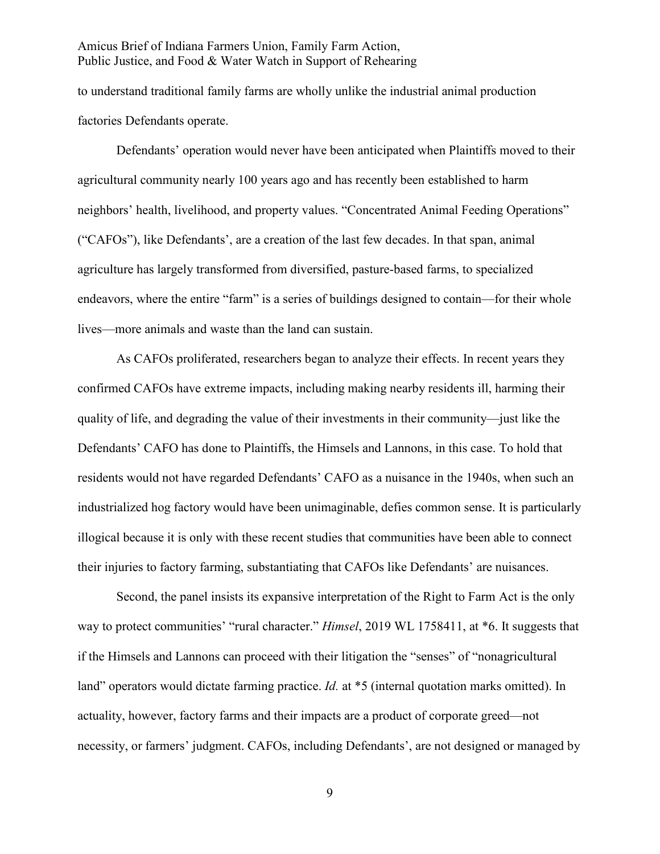to understand traditional family farms are wholly unlike the industrial animal production factories Defendants operate.

Defendants' operation would never have been anticipated when Plaintiffs moved to their agricultural community nearly 100 years ago and has recently been established to harm neighbors' health, livelihood, and property values. "Concentrated Animal Feeding Operations" ("CAFOs"), like Defendants', are a creation of the last few decades. In that span, animal agriculture has largely transformed from diversified, pasture-based farms, to specialized endeavors, where the entire "farm" is a series of buildings designed to contain—for their whole lives—more animals and waste than the land can sustain.

As CAFOs proliferated, researchers began to analyze their effects. In recent years they confirmed CAFOs have extreme impacts, including making nearby residents ill, harming their quality of life, and degrading the value of their investments in their community—just like the Defendants' CAFO has done to Plaintiffs, the Himsels and Lannons, in this case. To hold that residents would not have regarded Defendants' CAFO as a nuisance in the 1940s, when such an industrialized hog factory would have been unimaginable, defies common sense. It is particularly illogical because it is only with these recent studies that communities have been able to connect their injuries to factory farming, substantiating that CAFOs like Defendants' are nuisances.

Second, the panel insists its expansive interpretation of the Right to Farm Act is the only way to protect communities' "rural character." *Himsel*, 2019 WL 1758411, at \*6. It suggests that if the Himsels and Lannons can proceed with their litigation the "senses" of "nonagricultural land" operators would dictate farming practice. *Id.* at \*5 (internal quotation marks omitted). In actuality, however, factory farms and their impacts are a product of corporate greed—not necessity, or farmers' judgment. CAFOs, including Defendants', are not designed or managed by

9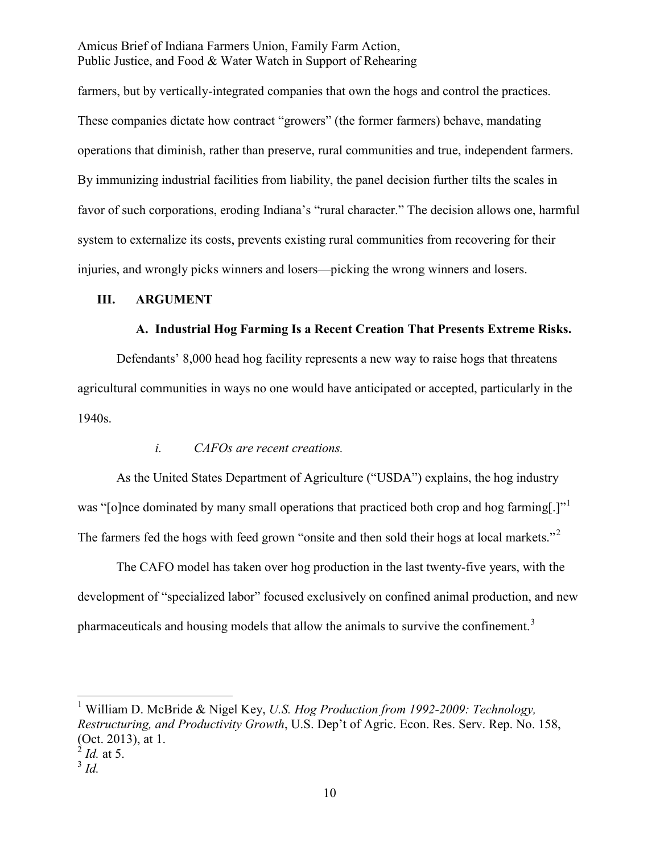farmers, but by vertically-integrated companies that own the hogs and control the practices. These companies dictate how contract "growers" (the former farmers) behave, mandating operations that diminish, rather than preserve, rural communities and true, independent farmers. By immunizing industrial facilities from liability, the panel decision further tilts the scales in favor of such corporations, eroding Indiana's "rural character." The decision allows one, harmful system to externalize its costs, prevents existing rural communities from recovering for their injuries, and wrongly picks winners and losers—picking the wrong winners and losers.

#### **III. ARGUMENT**

#### **A. Industrial Hog Farming Is a Recent Creation That Presents Extreme Risks.**

Defendants' 8,000 head hog facility represents a new way to raise hogs that threatens agricultural communities in ways no one would have anticipated or accepted, particularly in the 1940s.

#### *i. CAFOs are recent creations.*

As the United States Department of Agriculture ("USDA") explains, the hog industry was "[o]nce dominated by many small operations that practiced both crop and hog farming[.]" The farmers fed the hogs with feed grown "onsite and then sold their hogs at local markets."

The CAFO model has taken over hog production in the last twenty-five years, with the development of "specialized labor" focused exclusively on confined animal production, and new pharmaceuticals and housing models that allow the animals to survive the confinement.<sup>3</sup>

 <sup>1</sup> William D. McBride & Nigel Key, *U.S. Hog Production from 1992-2009: Technology, Restructuring, and Productivity Growth*, U.S. Dep't of Agric. Econ. Res. Serv. Rep. No. 158, (Oct. 2013), at 1.

<sup>2</sup> *Id.* at 5.

 $3$  *Id.*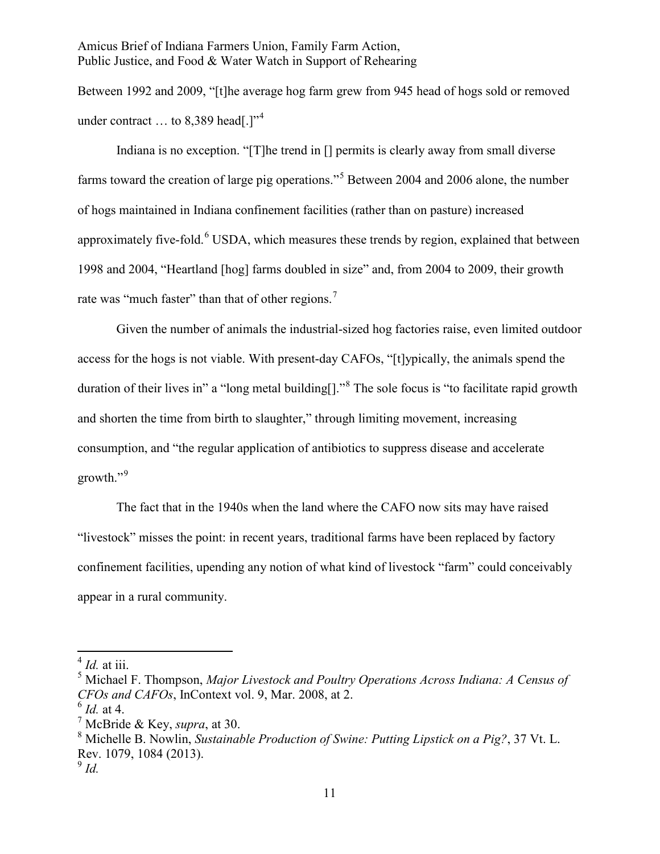Between 1992 and 2009, "[t]he average hog farm grew from 945 head of hogs sold or removed under contract  $\ldots$  to 8.389 head[.]"<sup>4</sup>

Indiana is no exception. "[T]he trend in [] permits is clearly away from small diverse farms toward the creation of large pig operations."<sup>5</sup> Between 2004 and 2006 alone, the number of hogs maintained in Indiana confinement facilities (rather than on pasture) increased approximately five-fold. $6$  USDA, which measures these trends by region, explained that between 1998 and 2004, "Heartland [hog] farms doubled in size" and, from 2004 to 2009, their growth rate was "much faster" than that of other regions.<sup>7</sup>

Given the number of animals the industrial-sized hog factories raise, even limited outdoor access for the hogs is not viable. With present-day CAFOs, "[t]ypically, the animals spend the duration of their lives in" a "long metal building<sup>[]</sup>."<sup>8</sup> The sole focus is "to facilitate rapid growth and shorten the time from birth to slaughter," through limiting movement, increasing consumption, and "the regular application of antibiotics to suppress disease and accelerate growth."<sup>9</sup>

The fact that in the 1940s when the land where the CAFO now sits may have raised "livestock" misses the point: in recent years, traditional farms have been replaced by factory confinement facilities, upending any notion of what kind of livestock "farm" could conceivably appear in a rural community.

<sup>4</sup> *Id.* at iii.

<sup>5</sup> Michael F. Thompson, *Major Livestock and Poultry Operations Across Indiana: A Census of CFOs and CAFOs*, InContext vol. 9, Mar. 2008, at 2.

<sup>6</sup> *Id.* at 4.

<sup>7</sup> McBride & Key, *supra*, at 30.

<sup>8</sup> Michelle B. Nowlin, *Sustainable Production of Swine: Putting Lipstick on a Pig?*, 37 Vt. L. Rev. 1079, 1084 (2013).

 $9$  *Id.*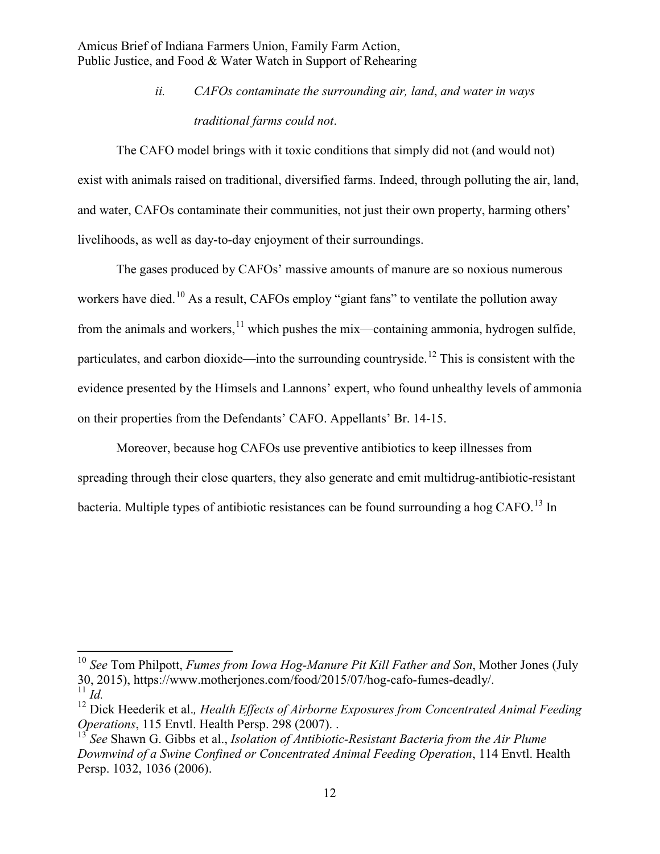> *ii. CAFOs contaminate the surrounding air, land*, *and water in ways traditional farms could not*.

The CAFO model brings with it toxic conditions that simply did not (and would not) exist with animals raised on traditional, diversified farms. Indeed, through polluting the air, land, and water, CAFOs contaminate their communities, not just their own property, harming others' livelihoods, as well as day-to-day enjoyment of their surroundings.

The gases produced by CAFOs' massive amounts of manure are so noxious numerous workers have died.<sup>10</sup> As a result, CAFOs employ "giant fans" to ventilate the pollution away from the animals and workers, $11$  which pushes the mix—containing ammonia, hydrogen sulfide, particulates, and carbon dioxide—into the surrounding countryside.<sup>12</sup> This is consistent with the evidence presented by the Himsels and Lannons' expert, who found unhealthy levels of ammonia on their properties from the Defendants' CAFO. Appellants' Br. 14-15.

Moreover, because hog CAFOs use preventive antibiotics to keep illnesses from spreading through their close quarters, they also generate and emit multidrug-antibiotic-resistant bacteria. Multiple types of antibiotic resistances can be found surrounding a hog CAFO.<sup>13</sup> In

<sup>10</sup> *See* Tom Philpott, *Fumes from Iowa Hog-Manure Pit Kill Father and Son*, Mother Jones (July 30, 2015), https://www.motherjones.com/food/2015/07/hog-cafo-fumes-deadly/.  $11$  *Id.* 

<sup>12</sup> Dick Heederik et al.*, Health Effects of Airborne Exposures from Concentrated Animal Feeding Operations*, 115 Envtl. Health Persp. 298 (2007). .

<sup>13</sup> *See* Shawn G. Gibbs et al., *Isolation of Antibiotic-Resistant Bacteria from the Air Plume Downwind of a Swine Confined or Concentrated Animal Feeding Operation*, 114 Envtl. Health Persp. 1032, 1036 (2006).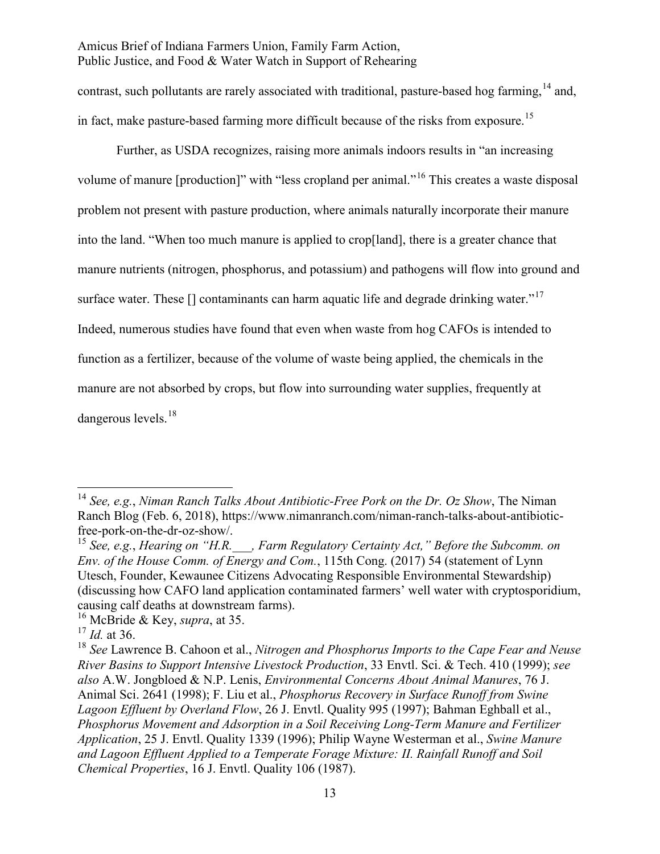contrast, such pollutants are rarely associated with traditional, pasture-based hog farming, <sup>14</sup> and, in fact, make pasture-based farming more difficult because of the risks from exposure.<sup>15</sup>

Further, as USDA recognizes, raising more animals indoors results in "an increasing volume of manure [production]" with "less cropland per animal."<sup>16</sup> This creates a waste disposal problem not present with pasture production, where animals naturally incorporate their manure into the land. "When too much manure is applied to crop[land], there is a greater chance that manure nutrients (nitrogen, phosphorus, and potassium) and pathogens will flow into ground and surface water. These  $\prod$  contaminants can harm aquatic life and degrade drinking water."<sup>17</sup> Indeed, numerous studies have found that even when waste from hog CAFOs is intended to function as a fertilizer, because of the volume of waste being applied, the chemicals in the manure are not absorbed by crops, but flow into surrounding water supplies, frequently at dangerous levels.<sup>18</sup>

<sup>14</sup> *See, e.g.*, *Niman Ranch Talks About Antibiotic-Free Pork on the Dr. Oz Show*, The Niman Ranch Blog (Feb. 6, 2018), https://www.nimanranch.com/niman-ranch-talks-about-antibioticfree-pork-on-the-dr-oz-show/.

<sup>15</sup> *See, e.g.*, *Hearing on "H.R.\_\_\_, Farm Regulatory Certainty Act," Before the Subcomm. on Env. of the House Comm. of Energy and Com.*, 115th Cong. (2017) 54 (statement of Lynn Utesch, Founder, Kewaunee Citizens Advocating Responsible Environmental Stewardship) (discussing how CAFO land application contaminated farmers' well water with cryptosporidium, causing calf deaths at downstream farms).

<sup>16</sup> McBride & Key, *supra*, at 35.

<sup>17</sup> *Id.* at 36.

<sup>18</sup> *See* Lawrence B. Cahoon et al., *Nitrogen and Phosphorus Imports to the Cape Fear and Neuse River Basins to Support Intensive Livestock Production*, 33 Envtl. Sci. & Tech. 410 (1999); *see also* A.W. Jongbloed & N.P. Lenis, *Environmental Concerns About Animal Manures*, 76 J. Animal Sci. 2641 (1998); F. Liu et al., *Phosphorus Recovery in Surface Runoff from Swine Lagoon Effluent by Overland Flow*, 26 J. Envtl. Quality 995 (1997); Bahman Eghball et al., *Phosphorus Movement and Adsorption in a Soil Receiving Long-Term Manure and Fertilizer Application*, 25 J. Envtl. Quality 1339 (1996); Philip Wayne Westerman et al., *Swine Manure and Lagoon Effluent Applied to a Temperate Forage Mixture: II. Rainfall Runoff and Soil Chemical Properties*, 16 J. Envtl. Quality 106 (1987).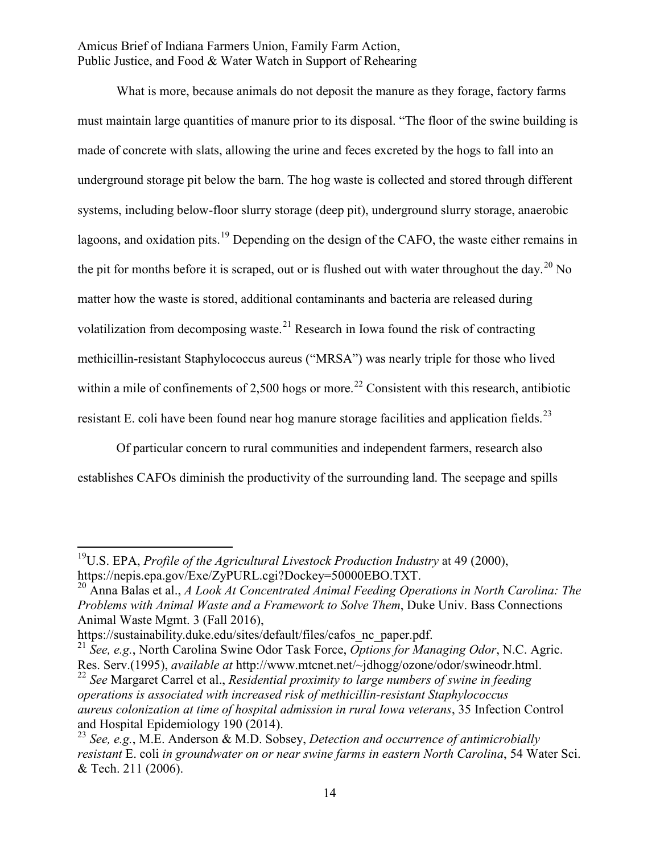What is more, because animals do not deposit the manure as they forage, factory farms must maintain large quantities of manure prior to its disposal. "The floor of the swine building is made of concrete with slats, allowing the urine and feces excreted by the hogs to fall into an underground storage pit below the barn. The hog waste is collected and stored through different systems, including below-floor slurry storage (deep pit), underground slurry storage, anaerobic lagoons, and oxidation pits.<sup>19</sup> Depending on the design of the CAFO, the waste either remains in the pit for months before it is scraped, out or is flushed out with water throughout the day.<sup>20</sup> No matter how the waste is stored, additional contaminants and bacteria are released during volatilization from decomposing waste.<sup>21</sup> Research in Iowa found the risk of contracting methicillin-resistant Staphylococcus aureus ("MRSA") was nearly triple for those who lived within a mile of confinements of 2,500 hogs or more.<sup>22</sup> Consistent with this research, antibiotic resistant E. coli have been found near hog manure storage facilities and application fields.<sup>23</sup>

Of particular concern to rural communities and independent farmers, research also establishes CAFOs diminish the productivity of the surrounding land. The seepage and spills

19U.S. EPA, *Profile of the Agricultural Livestock Production Industry* at 49 (2000), https://nepis.epa.gov/Exe/ZyPURL.cgi?Dockey=50000EBO.TXT.

<sup>20</sup> Anna Balas et al., *A Look At Concentrated Animal Feeding Operations in North Carolina: The Problems with Animal Waste and a Framework to Solve Them*, Duke Univ. Bass Connections Animal Waste Mgmt. 3 (Fall 2016),

https://sustainability.duke.edu/sites/default/files/cafos\_nc\_paper.pdf.

<sup>21</sup> *See, e.g.*, North Carolina Swine Odor Task Force, *Options for Managing Odor*, N.C. Agric. Res. Serv.(1995), *available at* http://www.mtcnet.net/~jdhogg/ozone/odor/swineodr.html.

<sup>22</sup> *See* Margaret Carrel et al., *Residential proximity to large numbers of swine in feeding operations is associated with increased risk of methicillin-resistant Staphylococcus aureus colonization at time of hospital admission in rural Iowa veterans*, 35 Infection Control and Hospital Epidemiology 190 (2014).

<sup>23</sup> *See, e.g.*, M.E. Anderson & M.D. Sobsey, *Detection and occurrence of antimicrobially resistant* E. coli *in groundwater on or near swine farms in eastern North Carolina*, 54 Water Sci. & Tech. 211 (2006).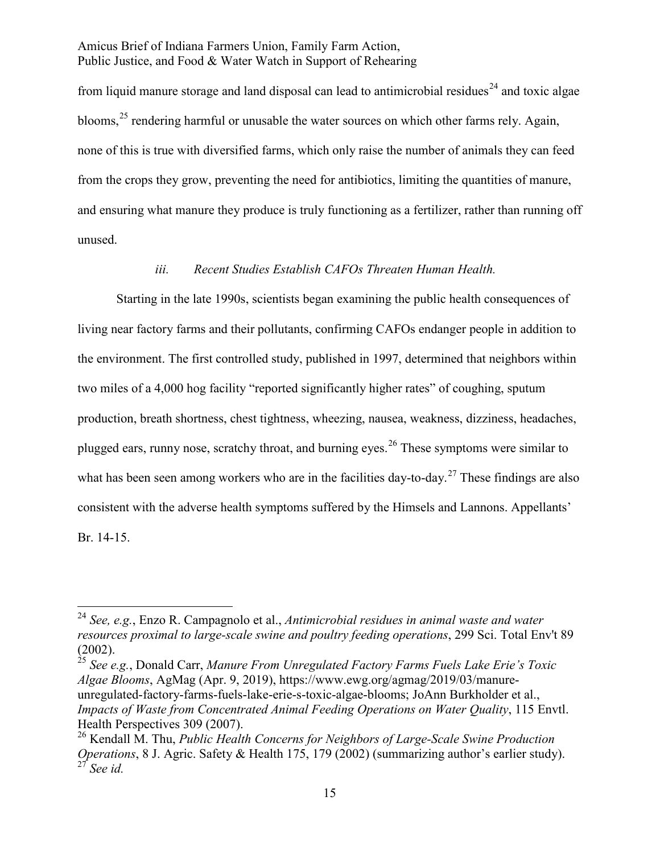from liquid manure storage and land disposal can lead to antimicrobial residues<sup>24</sup> and toxic algae blooms,  $^{25}$  rendering harmful or unusable the water sources on which other farms rely. Again, none of this is true with diversified farms, which only raise the number of animals they can feed from the crops they grow, preventing the need for antibiotics, limiting the quantities of manure, and ensuring what manure they produce is truly functioning as a fertilizer, rather than running off unused.

#### *iii. Recent Studies Establish CAFOs Threaten Human Health.*

Starting in the late 1990s, scientists began examining the public health consequences of living near factory farms and their pollutants, confirming CAFOs endanger people in addition to the environment. The first controlled study, published in 1997, determined that neighbors within two miles of a 4,000 hog facility "reported significantly higher rates" of coughing, sputum production, breath shortness, chest tightness, wheezing, nausea, weakness, dizziness, headaches, plugged ears, runny nose, scratchy throat, and burning eyes.<sup>26</sup> These symptoms were similar to what has been seen among workers who are in the facilities day-to-day.<sup>27</sup> These findings are also consistent with the adverse health symptoms suffered by the Himsels and Lannons. Appellants' Br. 14-15.

<sup>25</sup> *See e.g.*, Donald Carr, *Manure From Unregulated Factory Farms Fuels Lake Erie's Toxic Algae Blooms*, AgMag (Apr. 9, 2019), https://www.ewg.org/agmag/2019/03/manureunregulated-factory-farms-fuels-lake-erie-s-toxic-algae-blooms; JoAnn Burkholder et al., *Impacts of Waste from Concentrated Animal Feeding Operations on Water Quality*, 115 Envtl. Health Perspectives 309 (2007).

<sup>24</sup> *See, e.g.*, Enzo R. Campagnolo et al., *Antimicrobial residues in animal waste and water resources proximal to large-scale swine and poultry feeding operations*, 299 Sci. Total Env't 89 (2002).

<sup>26</sup> Kendall M. Thu, *Public Health Concerns for Neighbors of Large-Scale Swine Production Operations*, 8 J. Agric. Safety & Health 175, 179 (2002) (summarizing author's earlier study). <sup>27</sup> *See id.*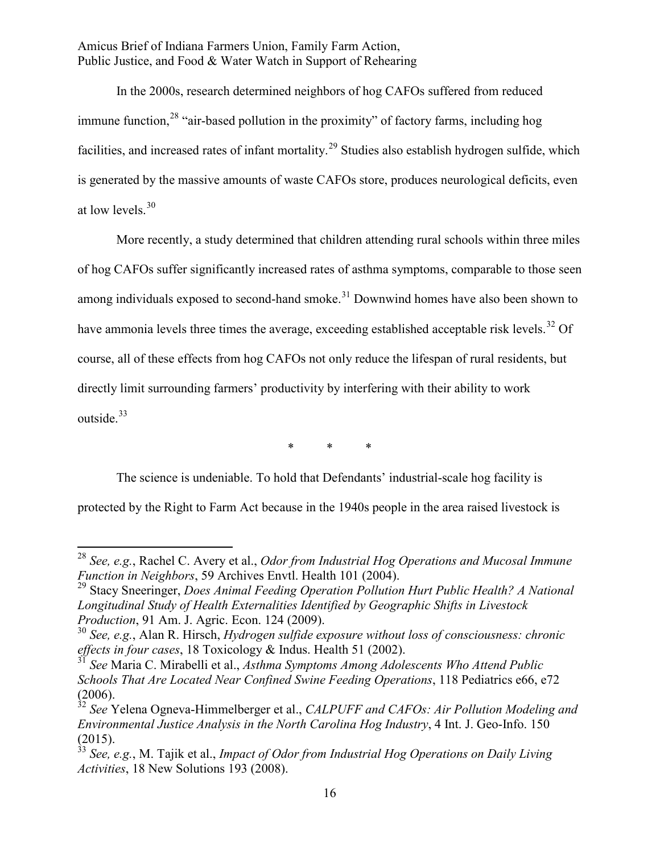In the 2000s, research determined neighbors of hog CAFOs suffered from reduced immune function,  $^{28}$  "air-based pollution in the proximity" of factory farms, including hog facilities, and increased rates of infant mortality.<sup>29</sup> Studies also establish hydrogen sulfide, which is generated by the massive amounts of waste CAFOs store, produces neurological deficits, even at low levels.<sup>30</sup>

More recently, a study determined that children attending rural schools within three miles of hog CAFOs suffer significantly increased rates of asthma symptoms, comparable to those seen among individuals exposed to second-hand smoke.<sup>31</sup> Downwind homes have also been shown to have ammonia levels three times the average, exceeding established acceptable risk levels.<sup>32</sup> Of course, all of these effects from hog CAFOs not only reduce the lifespan of rural residents, but directly limit surrounding farmers' productivity by interfering with their ability to work outside.<sup>33</sup>

\* \* \*

The science is undeniable. To hold that Defendants' industrial-scale hog facility is

protected by the Right to Farm Act because in the 1940s people in the area raised livestock is

<sup>28</sup> *See, e.g.*, Rachel C. Avery et al., *Odor from Industrial Hog Operations and Mucosal Immune Function in Neighbors*, 59 Archives Envtl. Health 101 (2004).

<sup>29</sup> Stacy Sneeringer, *Does Animal Feeding Operation Pollution Hurt Public Health? A National Longitudinal Study of Health Externalities Identified by Geographic Shifts in Livestock Production*, 91 Am. J. Agric. Econ. 124 (2009).

<sup>30</sup> *See, e.g.*, Alan R. Hirsch, *Hydrogen sulfide exposure without loss of consciousness: chronic effects in four cases*, 18 Toxicology & Indus. Health 51 (2002).

<sup>31</sup> *See* Maria C. Mirabelli et al., *Asthma Symptoms Among Adolescents Who Attend Public Schools That Are Located Near Confined Swine Feeding Operations*, 118 Pediatrics e66, e72 (2006).

<sup>32</sup> *See* Yelena Ogneva-Himmelberger et al., *CALPUFF and CAFOs: Air Pollution Modeling and Environmental Justice Analysis in the North Carolina Hog Industry*, 4 Int. J. Geo-Info. 150  $\frac{(2015)}{33}$ .

<sup>33</sup> *See, e.g.*, M. Tajik et al., *Impact of Odor from Industrial Hog Operations on Daily Living Activities*, 18 New Solutions 193 (2008).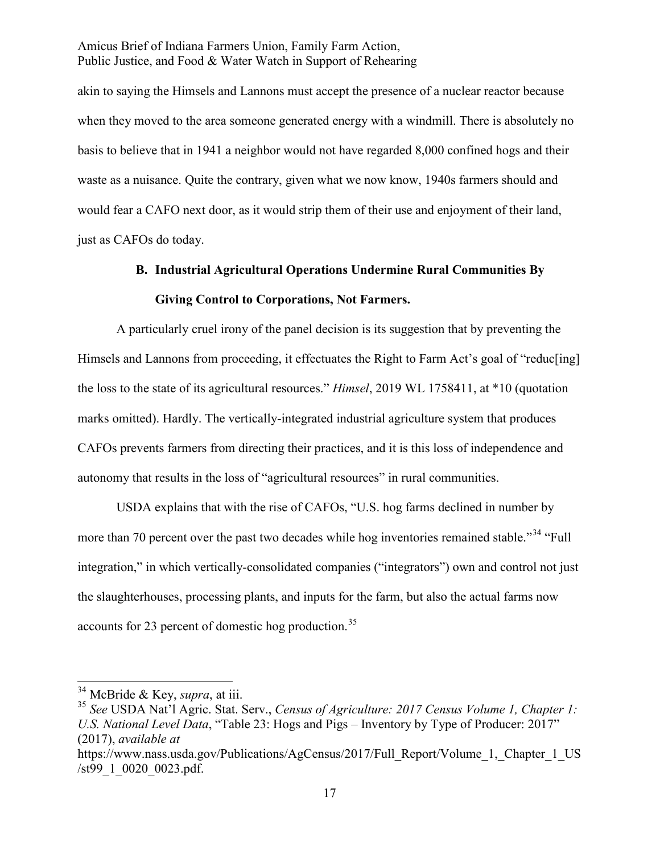akin to saying the Himsels and Lannons must accept the presence of a nuclear reactor because when they moved to the area someone generated energy with a windmill. There is absolutely no basis to believe that in 1941 a neighbor would not have regarded 8,000 confined hogs and their waste as a nuisance. Quite the contrary, given what we now know, 1940s farmers should and would fear a CAFO next door, as it would strip them of their use and enjoyment of their land, just as CAFOs do today.

# **B. Industrial Agricultural Operations Undermine Rural Communities By Giving Control to Corporations, Not Farmers.**

A particularly cruel irony of the panel decision is its suggestion that by preventing the Himsels and Lannons from proceeding, it effectuates the Right to Farm Act's goal of "reduc[ing] the loss to the state of its agricultural resources." *Himsel*, 2019 WL 1758411, at \*10 (quotation marks omitted). Hardly. The vertically-integrated industrial agriculture system that produces CAFOs prevents farmers from directing their practices, and it is this loss of independence and autonomy that results in the loss of "agricultural resources" in rural communities.

USDA explains that with the rise of CAFOs, "U.S. hog farms declined in number by more than 70 percent over the past two decades while hog inventories remained stable."<sup>34</sup> "Full integration," in which vertically-consolidated companies ("integrators") own and control not just the slaughterhouses, processing plants, and inputs for the farm, but also the actual farms now accounts for 23 percent of domestic hog production.<sup>35</sup>

<sup>34</sup> McBride & Key, *supra*, at iii.

<sup>35</sup> *See* USDA Nat'l Agric. Stat. Serv., *Census of Agriculture: 2017 Census Volume 1, Chapter 1: U.S. National Level Data*, "Table 23: Hogs and Pigs – Inventory by Type of Producer: 2017" (2017), *available at* 

https://www.nass.usda.gov/Publications/AgCensus/2017/Full\_Report/Volume\_1,\_Chapter\_1\_US /st99\_1\_0020\_0023.pdf.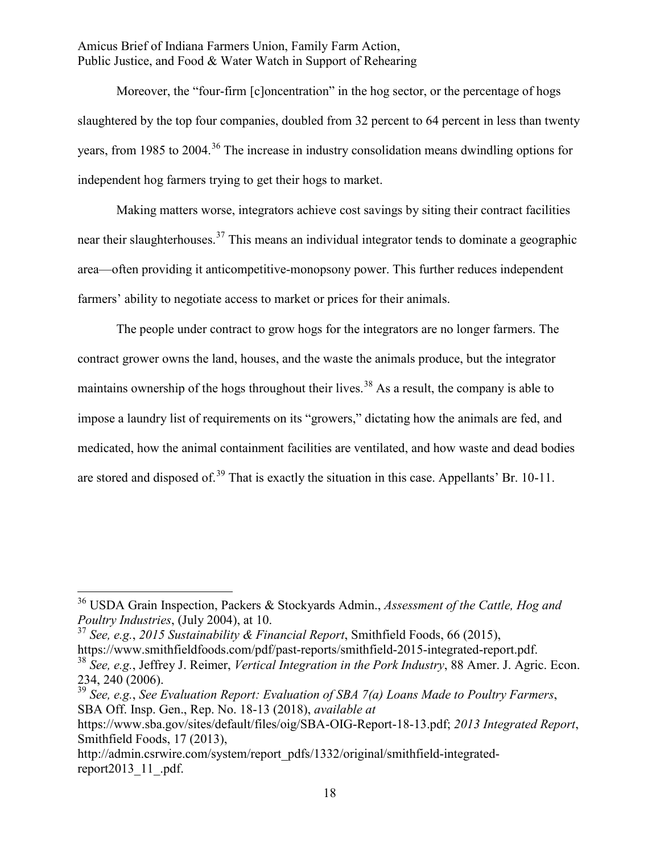Moreover, the "four-firm [c]oncentration" in the hog sector, or the percentage of hogs slaughtered by the top four companies, doubled from 32 percent to 64 percent in less than twenty years, from 1985 to 2004.<sup>36</sup> The increase in industry consolidation means dwindling options for independent hog farmers trying to get their hogs to market.

Making matters worse, integrators achieve cost savings by siting their contract facilities near their slaughterhouses.<sup>37</sup> This means an individual integrator tends to dominate a geographic area—often providing it anticompetitive-monopsony power. This further reduces independent farmers' ability to negotiate access to market or prices for their animals.

The people under contract to grow hogs for the integrators are no longer farmers. The contract grower owns the land, houses, and the waste the animals produce, but the integrator maintains ownership of the hogs throughout their lives.<sup>38</sup> As a result, the company is able to impose a laundry list of requirements on its "growers," dictating how the animals are fed, and medicated, how the animal containment facilities are ventilated, and how waste and dead bodies are stored and disposed of.<sup>39</sup> That is exactly the situation in this case. Appellants' Br. 10-11.

<sup>36</sup> USDA Grain Inspection, Packers & Stockyards Admin., *Assessment of the Cattle, Hog and Poultry Industries*, (July 2004), at 10.

<sup>37</sup> *See, e.g.*, *2015 Sustainability & Financial Report*, Smithfield Foods, 66 (2015), https://www.smithfieldfoods.com/pdf/past-reports/smithfield-2015-integrated-report.pdf.

<sup>38</sup> *See, e.g.*, Jeffrey J. Reimer, *Vertical Integration in the Pork Industry*, 88 Amer. J. Agric. Econ. 234, 240 (2006).

<sup>39</sup> *See, e.g.*, *See Evaluation Report: Evaluation of SBA 7(a) Loans Made to Poultry Farmers*, SBA Off. Insp. Gen., Rep. No. 18-13 (2018), *available at* 

https://www.sba.gov/sites/default/files/oig/SBA-OIG-Report-18-13.pdf; *2013 Integrated Report*, Smithfield Foods, 17 (2013),

http://admin.csrwire.com/system/report\_pdfs/1332/original/smithfield-integratedreport2013\_11\_.pdf.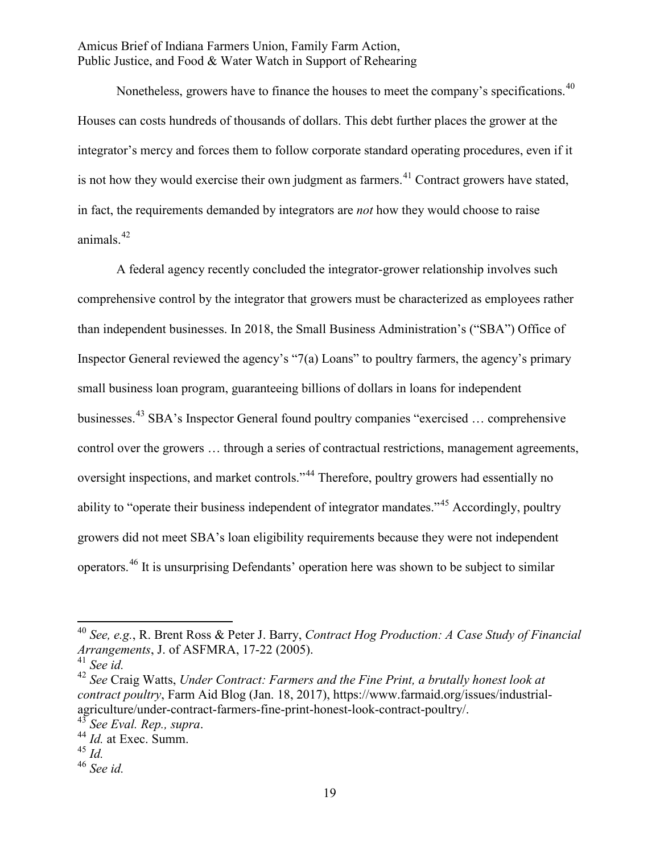Nonetheless, growers have to finance the houses to meet the company's specifications.<sup>40</sup> Houses can costs hundreds of thousands of dollars. This debt further places the grower at the integrator's mercy and forces them to follow corporate standard operating procedures, even if it is not how they would exercise their own judgment as farmers.<sup>41</sup> Contract growers have stated, in fact, the requirements demanded by integrators are *not* how they would choose to raise animals.<sup>42</sup>

A federal agency recently concluded the integrator-grower relationship involves such comprehensive control by the integrator that growers must be characterized as employees rather than independent businesses. In 2018, the Small Business Administration's ("SBA") Office of Inspector General reviewed the agency's "7(a) Loans" to poultry farmers, the agency's primary small business loan program, guaranteeing billions of dollars in loans for independent businesses.<sup>43</sup> SBA's Inspector General found poultry companies "exercised … comprehensive control over the growers … through a series of contractual restrictions, management agreements, oversight inspections, and market controls."<sup>44</sup> Therefore, poultry growers had essentially no ability to "operate their business independent of integrator mandates."<sup>45</sup> Accordingly, poultry growers did not meet SBA's loan eligibility requirements because they were not independent operators.<sup>46</sup> It is unsurprising Defendants' operation here was shown to be subject to similar

<sup>45</sup> *Id.*

<sup>40</sup> *See, e.g.*, R. Brent Ross & Peter J. Barry, *Contract Hog Production: A Case Study of Financial Arrangements*, J. of ASFMRA, 17-22 (2005).

<sup>41</sup> *See id.* 

<sup>42</sup> *See* Craig Watts, *Under Contract: Farmers and the Fine Print, a brutally honest look at contract poultry*, Farm Aid Blog (Jan. 18, 2017), https://www.farmaid.org/issues/industrialagriculture/under-contract-farmers-fine-print-honest-look-contract-poultry/.

<sup>43</sup> *See Eval. Rep., supra*. <sup>44</sup> *Id.* at Exec. Summ.

<sup>46</sup> *See id.*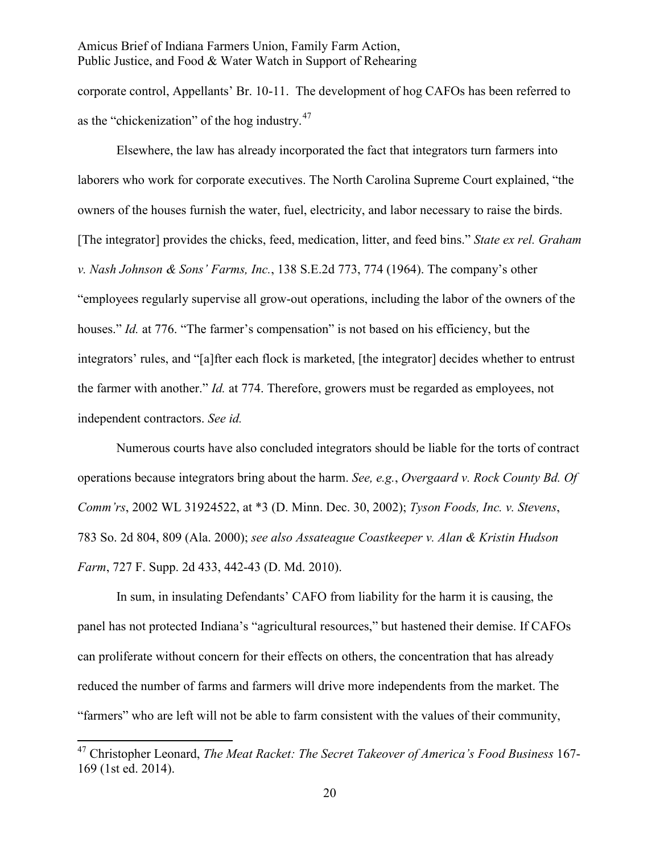corporate control, Appellants' Br. 10-11. The development of hog CAFOs has been referred to as the "chickenization" of the hog industry. $47$ 

Elsewhere, the law has already incorporated the fact that integrators turn farmers into laborers who work for corporate executives. The North Carolina Supreme Court explained, "the owners of the houses furnish the water, fuel, electricity, and labor necessary to raise the birds. [The integrator] provides the chicks, feed, medication, litter, and feed bins." *State ex rel. Graham v. Nash Johnson & Sons' Farms, Inc.*, 138 S.E.2d 773, 774 (1964). The company's other "employees regularly supervise all grow-out operations, including the labor of the owners of the houses." *Id.* at 776. "The farmer's compensation" is not based on his efficiency, but the integrators' rules, and "[a]fter each flock is marketed, [the integrator] decides whether to entrust the farmer with another." *Id.* at 774. Therefore, growers must be regarded as employees, not independent contractors. *See id.* 

Numerous courts have also concluded integrators should be liable for the torts of contract operations because integrators bring about the harm. *See, e.g.*, *Overgaard v. Rock County Bd. Of Comm'rs*, 2002 WL 31924522, at \*3 (D. Minn. Dec. 30, 2002); *Tyson Foods, Inc. v. Stevens*, 783 So. 2d 804, 809 (Ala. 2000); *see also Assateague Coastkeeper v. Alan & Kristin Hudson Farm*, 727 F. Supp. 2d 433, 442-43 (D. Md. 2010).

In sum, in insulating Defendants' CAFO from liability for the harm it is causing, the panel has not protected Indiana's "agricultural resources," but hastened their demise. If CAFOs can proliferate without concern for their effects on others, the concentration that has already reduced the number of farms and farmers will drive more independents from the market. The "farmers" who are left will not be able to farm consistent with the values of their community,

<sup>47</sup> Christopher Leonard, *The Meat Racket: The Secret Takeover of America's Food Business* 167- 169 (1st ed. 2014).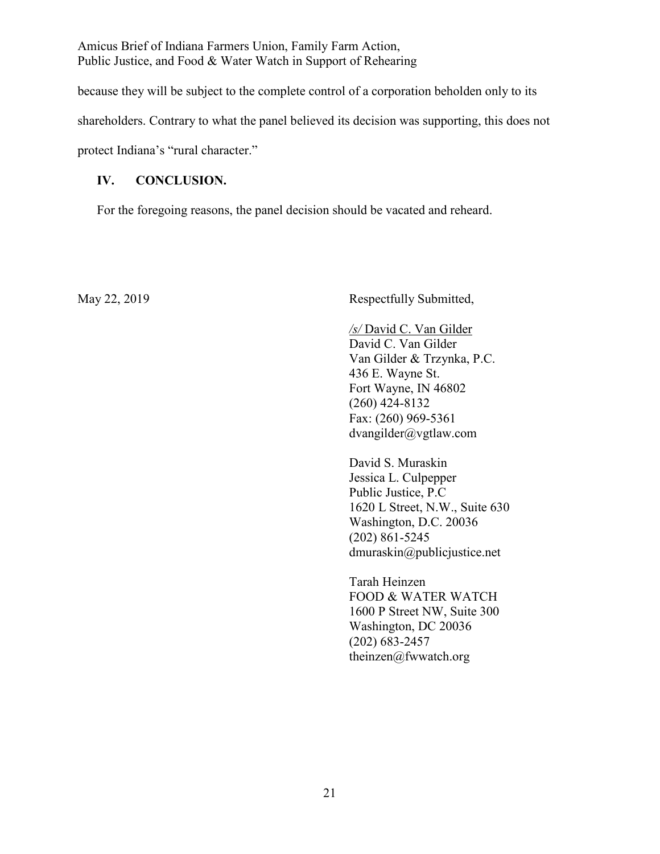because they will be subject to the complete control of a corporation beholden only to its shareholders. Contrary to what the panel believed its decision was supporting, this does not

protect Indiana's "rural character."

## **IV. CONCLUSION.**

For the foregoing reasons, the panel decision should be vacated and reheard.

May 22, 2019 Respectfully Submitted,

*/s/* David C. Van Gilder David C. Van Gilder Van Gilder & Trzynka, P.C. 436 E. Wayne St. Fort Wayne, IN 46802 (260) 424-8132 Fax: (260) 969-5361 dvangilder@vgtlaw.com

David S. Muraskin Jessica L. Culpepper Public Justice, P.C 1620 L Street, N.W., Suite 630 Washington, D.C. 20036 (202) 861-5245 dmuraskin@publicjustice.net

Tarah Heinzen FOOD & WATER WATCH 1600 P Street NW, Suite 300 Washington, DC 20036 (202) 683-2457 theinzen@fwwatch.org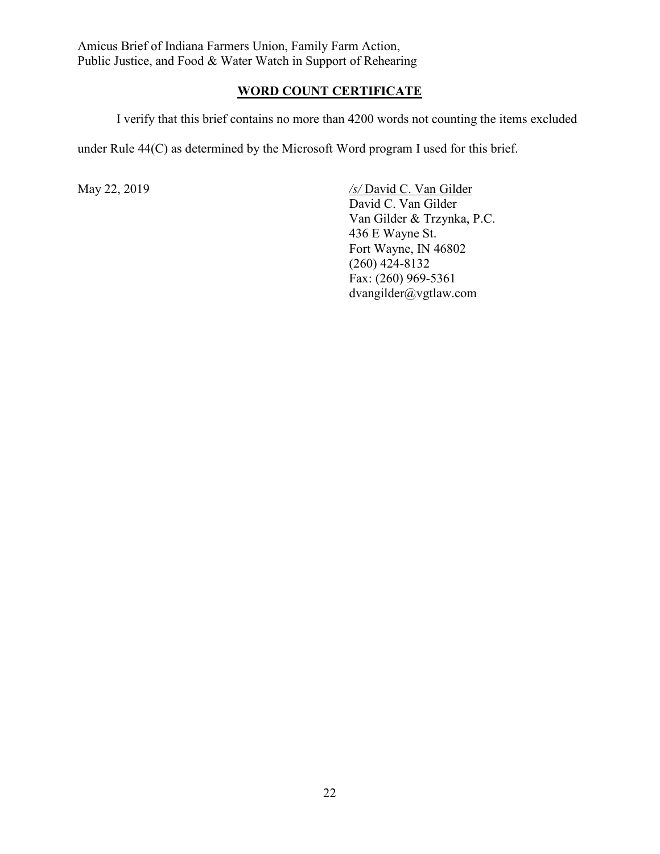## **WORD COUNT CERTIFICATE**

I verify that this brief contains no more than 4200 words not counting the items excluded

under Rule 44(C) as determined by the Microsoft Word program I used for this brief.

May 22, 2019 */s/* David C. Van Gilder David C. Van Gilder Van Gilder & Trzynka, P.C. 436 E Wayne St. Fort Wayne, IN 46802 (260) 424-8132 Fax: (260) 969-5361 dvangilder@vgtlaw.com